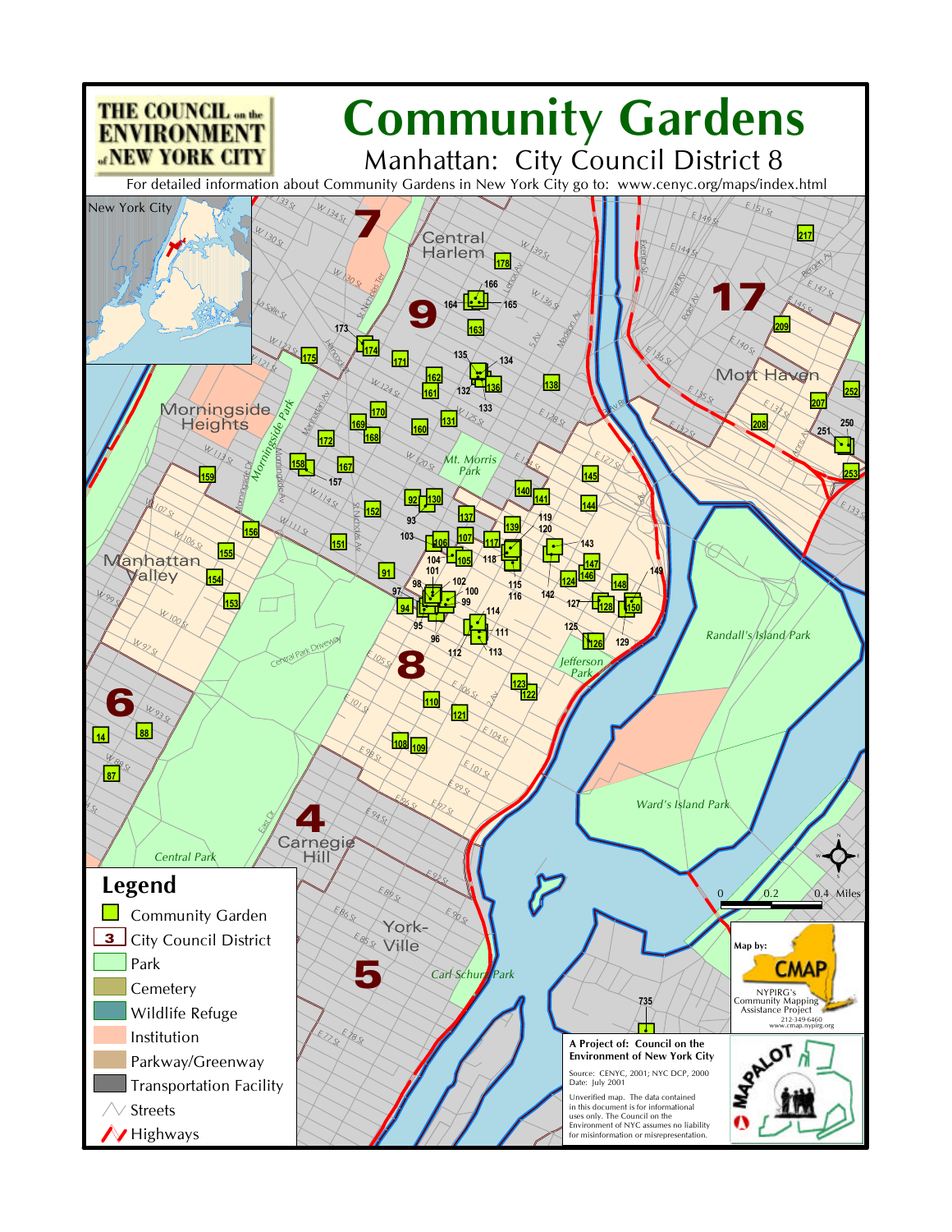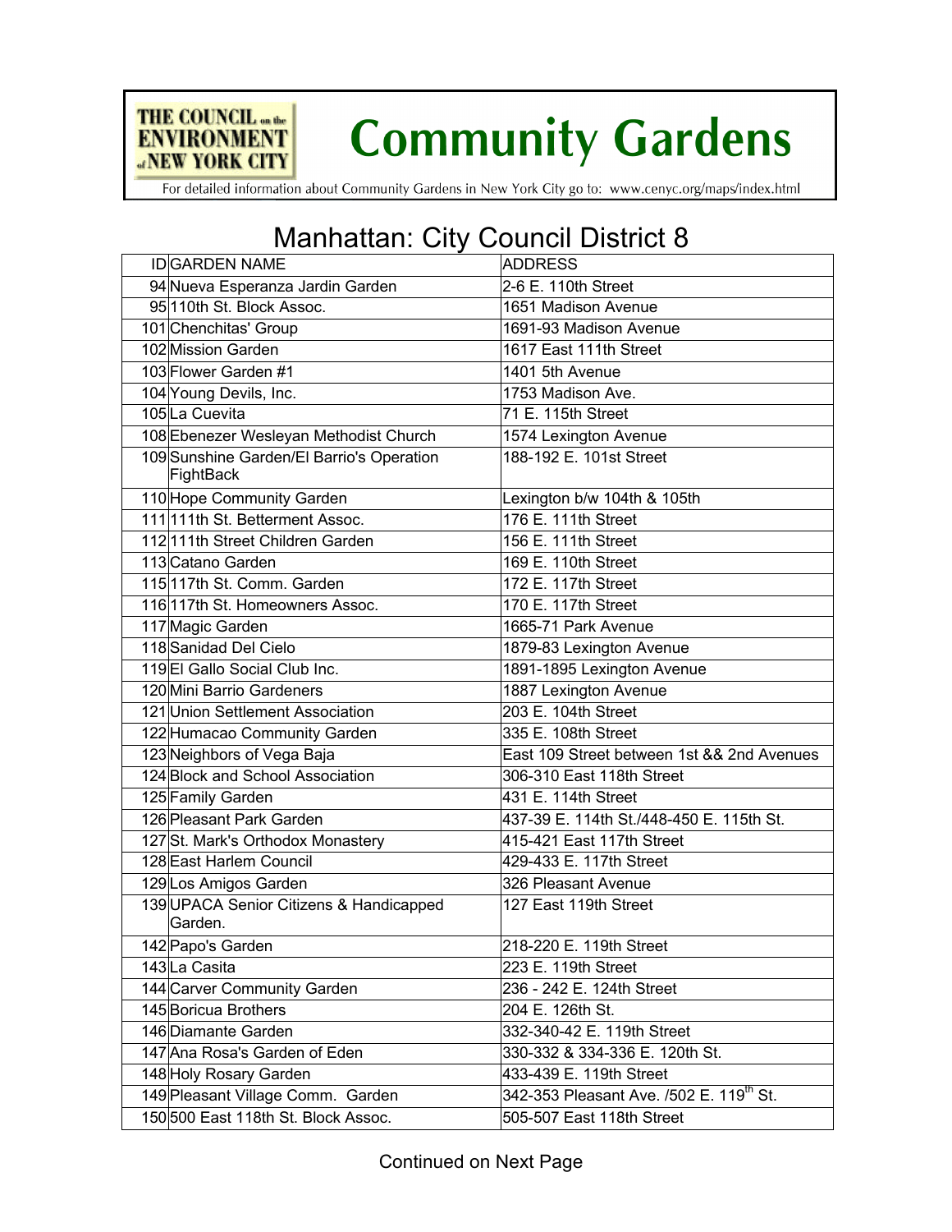

**Community Gardens** 

For detailed information about Community Gardens in New York City go to: www.cenyc.org/maps/index.html

## Manhattan: City Council District 8

| <b>IDGARDEN NAME</b>                                   | <b>ADDRESS</b>                                      |
|--------------------------------------------------------|-----------------------------------------------------|
| 94 Nueva Esperanza Jardin Garden                       | 2-6 E. 110th Street                                 |
| 95110th St. Block Assoc.                               | 1651 Madison Avenue                                 |
| 101 Chenchitas' Group                                  | 1691-93 Madison Avenue                              |
| 102 Mission Garden                                     | 1617 East 111th Street                              |
| 103 Flower Garden #1                                   | 1401 5th Avenue                                     |
| 104 Young Devils, Inc.                                 | 1753 Madison Ave.                                   |
| 105La Cuevita                                          | 71 E. 115th Street                                  |
| 108 Ebenezer Wesleyan Methodist Church                 | 1574 Lexington Avenue                               |
| 109 Sunshine Garden/El Barrio's Operation<br>FightBack | 188-192 E. 101st Street                             |
| 110 Hope Community Garden                              | Lexington b/w 104th & 105th                         |
| 111 111th St. Betterment Assoc.                        | 176 E. 111th Street                                 |
| 112111th Street Children Garden                        | 156 E. 111th Street                                 |
| 113 Catano Garden                                      | 169 E. 110th Street                                 |
| 115117th St. Comm. Garden                              | 172 E. 117th Street                                 |
| 116117th St. Homeowners Assoc.                         | 170 E. 117th Street                                 |
| 117 Magic Garden                                       | 1665-71 Park Avenue                                 |
| 118 Sanidad Del Cielo                                  | 1879-83 Lexington Avenue                            |
| 119El Gallo Social Club Inc.                           | 1891-1895 Lexington Avenue                          |
| 120 Mini Barrio Gardeners                              | 1887 Lexington Avenue                               |
| 121 Union Settlement Association                       | 203 E. 104th Street                                 |
| 122 Humacao Community Garden                           | 335 E. 108th Street                                 |
| 123 Neighbors of Vega Baja                             | East 109 Street between 1st && 2nd Avenues          |
| 124 Block and School Association                       | 306-310 East 118th Street                           |
| 125 Family Garden                                      | 431 E. 114th Street                                 |
| 126 Pleasant Park Garden                               | 437-39 E. 114th St./448-450 E. 115th St.            |
| 127St. Mark's Orthodox Monastery                       | 415-421 East 117th Street                           |
| 128 East Harlem Council                                | 429-433 E. 117th Street                             |
| 129Los Amigos Garden                                   | 326 Pleasant Avenue                                 |
| 139 UPACA Senior Citizens & Handicapped<br>Garden.     | 127 East 119th Street                               |
| 142 Papo's Garden                                      | 218-220 E. 119th Street                             |
| 143La Casita                                           | 223 E. 119th Street                                 |
| 144 Carver Community Garden                            | 236 - 242 E. 124th Street                           |
| 145 Boricua Brothers                                   | 204 E. 126th St.                                    |
| 146 Diamante Garden                                    | 332-340-42 E. 119th Street                          |
| 147 Ana Rosa's Garden of Eden                          | 330-332 & 334-336 E. 120th St.                      |
| 148 Holy Rosary Garden                                 | 433-439 E. 119th Street                             |
| 149 Pleasant Village Comm. Garden                      | 342-353 Pleasant Ave. /502 E. 119 <sup>th</sup> St. |
| 150500 East 118th St. Block Assoc.                     | 505-507 East 118th Street                           |